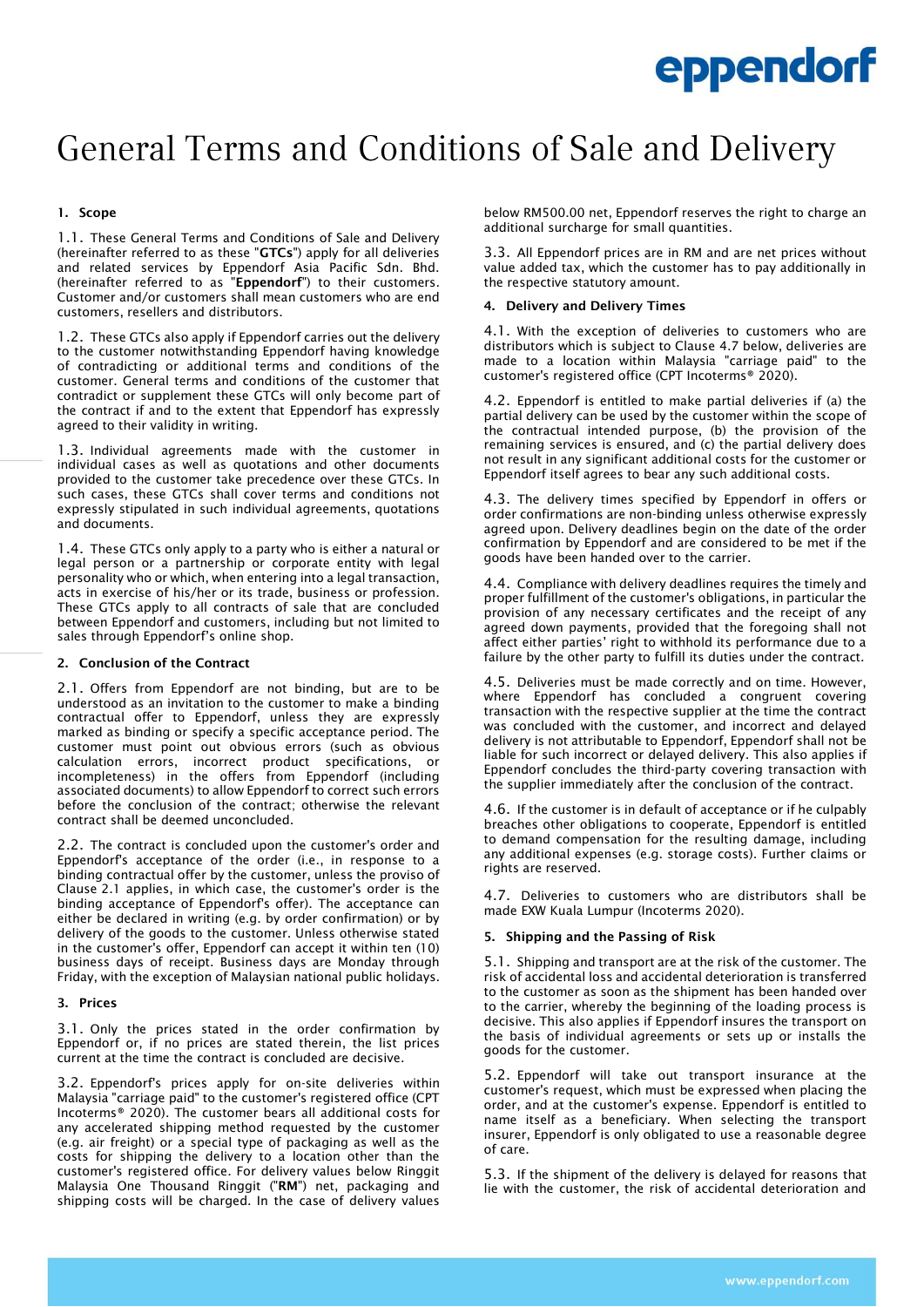# General Terms and Conditions of Sale and Delivery

# 1. Scope

1.1. These General Terms and Conditions of Sale and Delivery (hereinafter referred to as these "GTCs") apply for all deliveries and related services by Eppendorf Asia Pacific Sdn. Bhd. (hereinafter referred to as "Eppendorf") to their customers. Customer and/or customers shall mean customers who are end customers, resellers and distributors.

1.2. These GTCs also apply if Eppendorf carries out the delivery to the customer notwithstanding Eppendorf having knowledge of contradicting or additional terms and conditions of the customer. General terms and conditions of the customer that contradict or supplement these GTCs will only become part of the contract if and to the extent that Eppendorf has expressly agreed to their validity in writing.

1.3. Individual agreements made with the customer in individual cases as well as quotations and other documents provided to the customer take precedence over these GTCs. In such cases, these GTCs shall cover terms and conditions not expressly stipulated in such individual agreements, quotations and documents.

1.4. These GTCs only apply to a party who is either a natural or legal person or a partnership or corporate entity with legal personality who or which, when entering into a legal transaction, acts in exercise of his/her or its trade, business or profession. These GTCs apply to all contracts of sale that are concluded between Eppendorf and customers, including but not limited to sales through Eppendorf's online shop.

# 2. Conclusion of the Contract

2.1. Offers from Eppendorf are not binding, but are to be understood as an invitation to the customer to make a binding contractual offer to Eppendorf, unless they are expressly marked as binding or specify a specific acceptance period. The customer must point out obvious errors (such as obvious calculation errors, incorrect product specifications, or incompleteness) in the offers from Eppendorf (including associated documents) to allow Eppendorf to correct such errors before the conclusion of the contract; otherwise the relevant contract shall be deemed unconcluded.

2.2. The contract is concluded upon the customer's order and Eppendorf's acceptance of the order (i.e., in response to a binding contractual offer by the customer, unless the proviso of Clause 2.1 applies, in which case, the customer's order is the binding acceptance of Eppendorf's offer). The acceptance can either be declared in writing (e.g. by order confirmation) or by delivery of the goods to the customer. Unless otherwise stated in the customer's offer, Eppendorf can accept it within ten (10) business days of receipt. Business days are Monday through Friday, with the exception of Malaysian national public holidays.

#### 3. Prices

3.1. Only the prices stated in the order confirmation by Eppendorf or, if no prices are stated therein, the list prices current at the time the contract is concluded are decisive.

3.2. Eppendorf's prices apply for on-site deliveries within Malaysia "carriage paid" to the customer's registered office (CPT Incoterms® 2020). The customer bears all additional costs for any accelerated shipping method requested by the customer (e.g. air freight) or a special type of packaging as well as the costs for shipping the delivery to a location other than the customer's registered office. For delivery values below Ringgit Malaysia One Thousand Ringgit ("RM") net, packaging and shipping costs will be charged. In the case of delivery values

below RM500.00 net, Eppendorf reserves the right to charge an additional surcharge for small quantities.

3.3. All Eppendorf prices are in RM and are net prices without value added tax, which the customer has to pay additionally in the respective statutory amount.

### 4. Delivery and Delivery Times

4.1. With the exception of deliveries to customers who are distributors which is subject to Clause 4.7 below, deliveries are made to a location within Malaysia "carriage paid" to the customer's registered office (CPT Incoterms® 2020).

4.2. Eppendorf is entitled to make partial deliveries if (a) the partial delivery can be used by the customer within the scope of the contractual intended purpose, (b) the provision of the remaining services is ensured, and (c) the partial delivery does not result in any significant additional costs for the customer or Eppendorf itself agrees to bear any such additional costs.

4.3. The delivery times specified by Eppendorf in offers or order confirmations are non-binding unless otherwise expressly agreed upon. Delivery deadlines begin on the date of the order confirmation by Eppendorf and are considered to be met if the goods have been handed over to the carrier.

4.4. Compliance with delivery deadlines requires the timely and proper fulfillment of the customer's obligations, in particular the provision of any necessary certificates and the receipt of any agreed down payments, provided that the foregoing shall not affect either parties' right to withhold its performance due to a failure by the other party to fulfill its duties under the contract.

4.5. Deliveries must be made correctly and on time. However, where Eppendorf has concluded a congruent covering transaction with the respective supplier at the time the contract was concluded with the customer, and incorrect and delayed delivery is not attributable to Eppendorf, Eppendorf shall not be liable for such incorrect or delayed delivery. This also applies if Eppendorf concludes the third-party covering transaction with the supplier immediately after the conclusion of the contract.

4.6. If the customer is in default of acceptance or if he culpably breaches other obligations to cooperate, Eppendorf is entitled to demand compensation for the resulting damage, including any additional expenses (e.g. storage costs). Further claims or rights are reserved.

4.7. Deliveries to customers who are distributors shall be made EXW Kuala Lumpur (Incoterms 2020).

# 5. Shipping and the Passing of Risk

5.1. Shipping and transport are at the risk of the customer. The risk of accidental loss and accidental deterioration is transferred to the customer as soon as the shipment has been handed over to the carrier, whereby the beginning of the loading process is decisive. This also applies if Eppendorf insures the transport on the basis of individual agreements or sets up or installs the goods for the customer.

5.2. Eppendorf will take out transport insurance at the customer's request, which must be expressed when placing the order, and at the customer's expense. Eppendorf is entitled to name itself as a beneficiary. When selecting the transport insurer, Eppendorf is only obligated to use a reasonable degree of care.

5.3. If the shipment of the delivery is delayed for reasons that lie with the customer, the risk of accidental deterioration and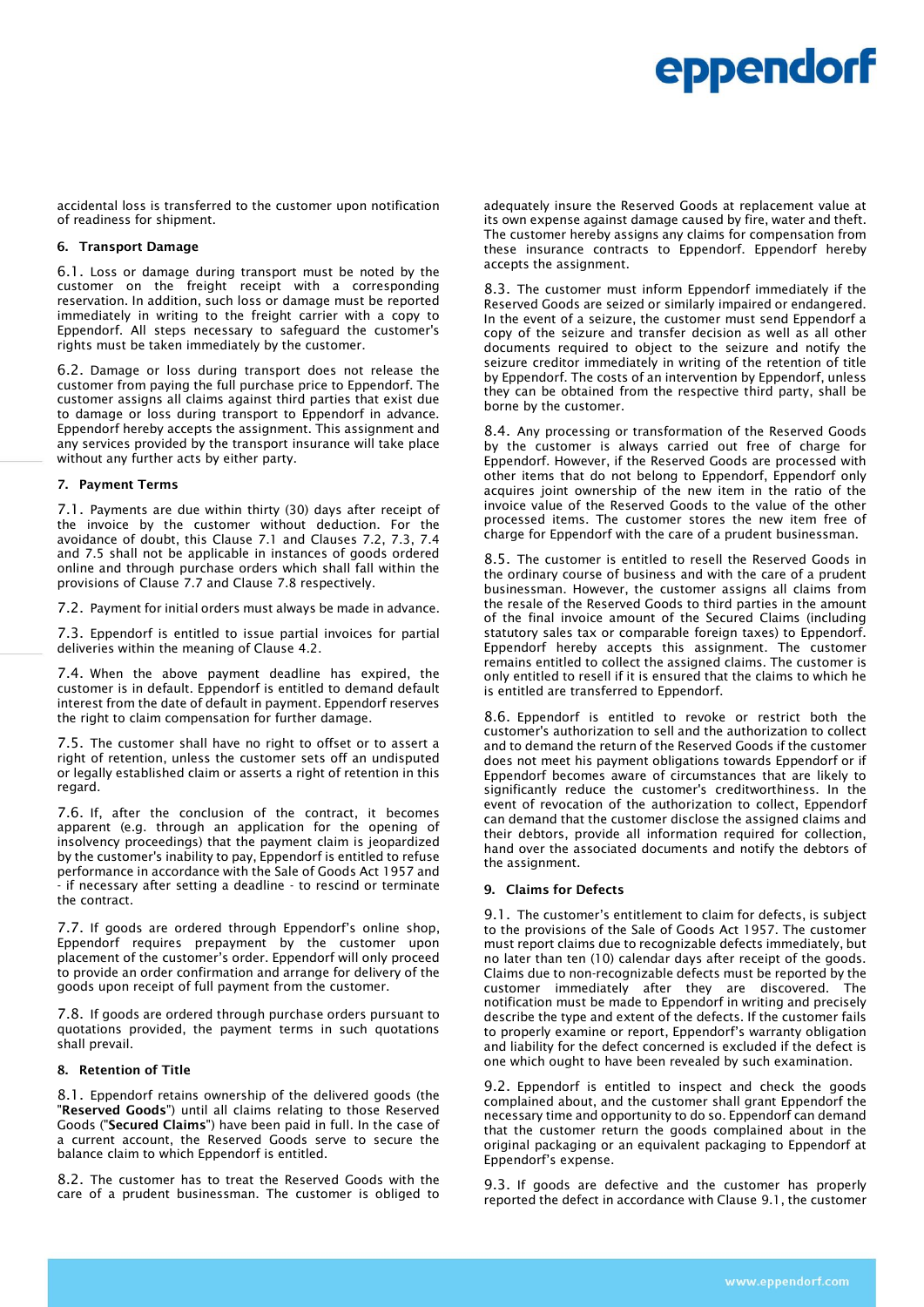accidental loss is transferred to the customer upon notification of readiness for shipment.

#### 6. Transport Damage

6.1. Loss or damage during transport must be noted by the customer on the freight receipt with a corresponding reservation. In addition, such loss or damage must be reported immediately in writing to the freight carrier with a copy to Eppendorf. All steps necessary to safeguard the customer's rights must be taken immediately by the customer.

6.2. Damage or loss during transport does not release the customer from paying the full purchase price to Eppendorf. The customer assigns all claims against third parties that exist due to damage or loss during transport to Eppendorf in advance. Eppendorf hereby accepts the assignment. This assignment and any services provided by the transport insurance will take place without any further acts by either party.

#### 7. Payment Terms

7.1. Payments are due within thirty (30) days after receipt of the invoice by the customer without deduction. For the avoidance of doubt, this Clause 7.1 and Clauses 7.2, 7.3, 7.4 and 7.5 shall not be applicable in instances of goods ordered online and through purchase orders which shall fall within the provisions of Clause 7.7 and Clause 7.8 respectively.

7.2. Payment for initial orders must always be made in advance.

7.3. Eppendorf is entitled to issue partial invoices for partial deliveries within the meaning of Clause 4.2.

7.4. When the above payment deadline has expired, the customer is in default. Eppendorf is entitled to demand default interest from the date of default in payment. Eppendorf reserves the right to claim compensation for further damage.

7.5. The customer shall have no right to offset or to assert a right of retention, unless the customer sets off an undisputed or legally established claim or asserts a right of retention in this regard.

7.6. If, after the conclusion of the contract, it becomes apparent (e.g. through an application for the opening of insolvency proceedings) that the payment claim is jeopardized by the customer's inability to pay, Eppendorf is entitled to refuse performance in accordance with the Sale of Goods Act 1957 and - if necessary after setting a deadline - to rescind or terminate the contract.

7.7. If goods are ordered through Eppendorf's online shop, Eppendorf requires prepayment by the customer upon placement of the customer's order. Eppendorf will only proceed to provide an order confirmation and arrange for delivery of the goods upon receipt of full payment from the customer.

7.8. If goods are ordered through purchase orders pursuant to quotations provided, the payment terms in such quotations shall prevail.

#### 8. Retention of Title

8.1. Eppendorf retains ownership of the delivered goods (the "Reserved Goods") until all claims relating to those Reserved Goods ("Secured Claims") have been paid in full. In the case of a current account, the Reserved Goods serve to secure the balance claim to which Eppendorf is entitled.

8.2. The customer has to treat the Reserved Goods with the care of a prudent businessman. The customer is obliged to adequately insure the Reserved Goods at replacement value at its own expense against damage caused by fire, water and theft. The customer hereby assigns any claims for compensation from these insurance contracts to Eppendorf. Eppendorf hereby accepts the assignment.

8.3. The customer must inform Eppendorf immediately if the Reserved Goods are seized or similarly impaired or endangered. In the event of a seizure, the customer must send Eppendorf a copy of the seizure and transfer decision as well as all other documents required to object to the seizure and notify the seizure creditor immediately in writing of the retention of title by Eppendorf. The costs of an intervention by Eppendorf, unless they can be obtained from the respective third party, shall be borne by the customer.

8.4. Any processing or transformation of the Reserved Goods by the customer is always carried out free of charge for Eppendorf. However, if the Reserved Goods are processed with other items that do not belong to Eppendorf, Eppendorf only acquires joint ownership of the new item in the ratio of the invoice value of the Reserved Goods to the value of the other processed items. The customer stores the new item free of charge for Eppendorf with the care of a prudent businessman.

8.5. The customer is entitled to resell the Reserved Goods in the ordinary course of business and with the care of a prudent businessman. However, the customer assigns all claims from the resale of the Reserved Goods to third parties in the amount of the final invoice amount of the Secured Claims (including statutory sales tax or comparable foreign taxes) to Eppendorf. Eppendorf hereby accepts this assignment. The customer remains entitled to collect the assigned claims. The customer is only entitled to resell if it is ensured that the claims to which he is entitled are transferred to Eppendorf.

8.6. Eppendorf is entitled to revoke or restrict both the customer's authorization to sell and the authorization to collect and to demand the return of the Reserved Goods if the customer does not meet his payment obligations towards Eppendorf or if Eppendorf becomes aware of circumstances that are likely to significantly reduce the customer's creditworthiness. In the event of revocation of the authorization to collect, Eppendorf can demand that the customer disclose the assigned claims and their debtors, provide all information required for collection, hand over the associated documents and notify the debtors of the assignment.

#### 9. Claims for Defects

9.1. The customer's entitlement to claim for defects, is subject to the provisions of the Sale of Goods Act 1957. The customer must report claims due to recognizable defects immediately, but no later than ten (10) calendar days after receipt of the goods. Claims due to non-recognizable defects must be reported by the customer immediately after they are discovered. The notification must be made to Eppendorf in writing and precisely describe the type and extent of the defects. If the customer fails to properly examine or report, Eppendorf's warranty obligation and liability for the defect concerned is excluded if the defect is one which ought to have been revealed by such examination.

9.2. Eppendorf is entitled to inspect and check the goods complained about, and the customer shall grant Eppendorf the necessary time and opportunity to do so. Eppendorf can demand that the customer return the goods complained about in the original packaging or an equivalent packaging to Eppendorf at Eppendorf's expense.

9.3. If goods are defective and the customer has properly reported the defect in accordance with Clause 9.1, the customer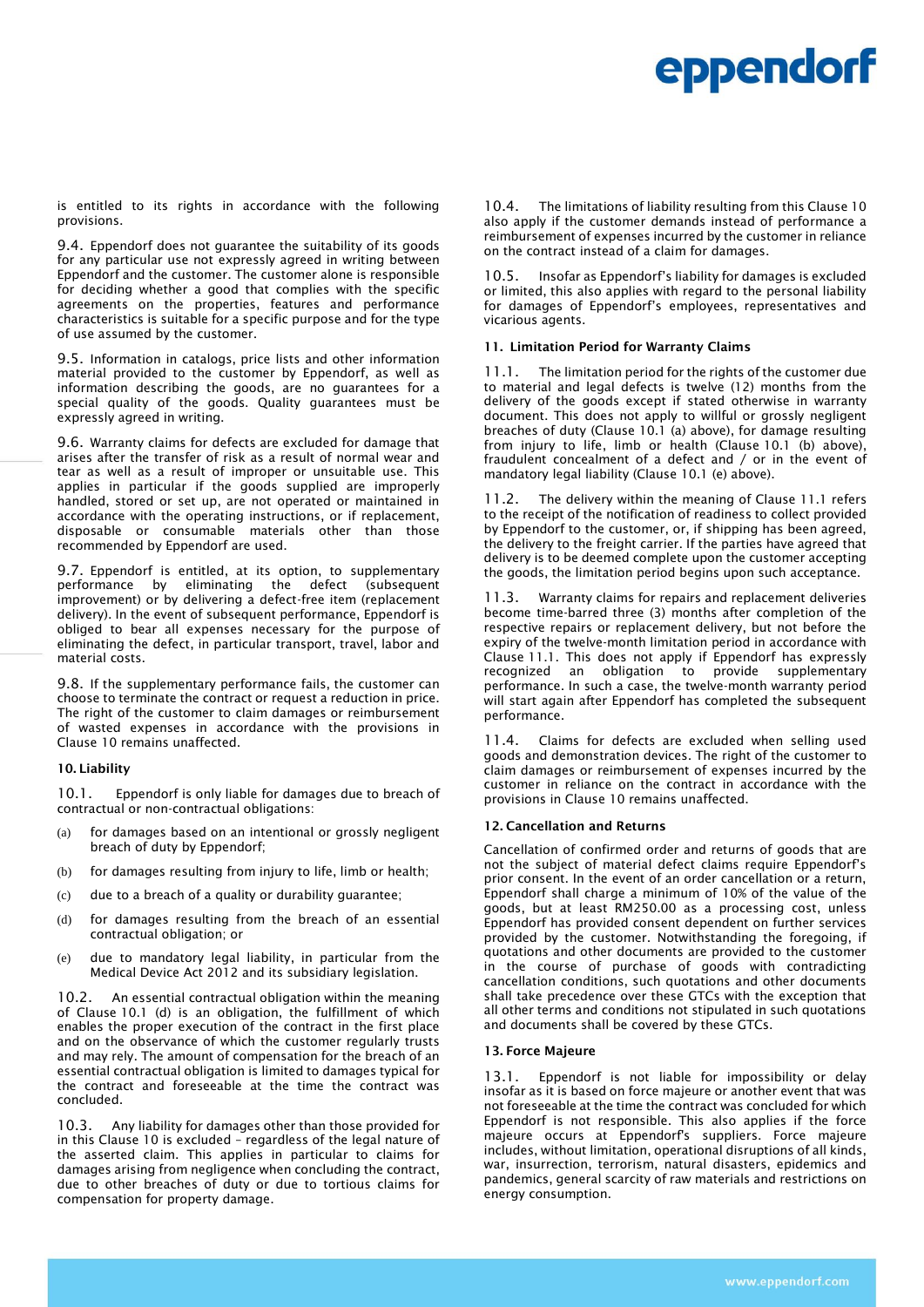is entitled to its rights in accordance with the following provisions.

9.4. Eppendorf does not guarantee the suitability of its goods for any particular use not expressly agreed in writing between Eppendorf and the customer. The customer alone is responsible for deciding whether a good that complies with the specific agreements on the properties, features and performance characteristics is suitable for a specific purpose and for the type of use assumed by the customer.

9.5. Information in catalogs, price lists and other information material provided to the customer by Eppendorf, as well as information describing the goods, are no guarantees for a special quality of the goods. Quality guarantees must be expressly agreed in writing.

9.6. Warranty claims for defects are excluded for damage that arises after the transfer of risk as a result of normal wear and tear as well as a result of improper or unsuitable use. This applies in particular if the goods supplied are improperly handled, stored or set up, are not operated or maintained in accordance with the operating instructions, or if replacement, disposable or consumable materials other than those recommended by Eppendorf are used.

9.7. Eppendorf is entitled, at its option, to supplementary performance by eliminating the defect (subsequent improvement) or by delivering a defect-free item (replacement delivery). In the event of subsequent performance, Eppendorf is obliged to bear all expenses necessary for the purpose of eliminating the defect, in particular transport, travel, labor and material costs.

9.8. If the supplementary performance fails, the customer can choose to terminate the contract or request a reduction in price. The right of the customer to claim damages or reimbursement of wasted expenses in accordance with the provisions in Clause 10 remains unaffected.

# 10. Liability

10.1. Eppendorf is only liable for damages due to breach of contractual or non-contractual obligations:

- (a) for damages based on an intentional or grossly negligent breach of duty by Eppendorf;
- (b) for damages resulting from injury to life, limb or health;
- (c) due to a breach of a quality or durability guarantee;
- (d) for damages resulting from the breach of an essential contractual obligation; or
- (e) due to mandatory legal liability, in particular from the Medical Device Act 2012 and its subsidiary legislation.

10.2. An essential contractual obligation within the meaning of Clause 10.1 (d) is an obligation, the fulfillment of which enables the proper execution of the contract in the first place and on the observance of which the customer regularly trusts and may rely. The amount of compensation for the breach of an essential contractual obligation is limited to damages typical for the contract and foreseeable at the time the contract was concluded.

10.3. Any liability for damages other than those provided for in this Clause 10 is excluded – regardless of the legal nature of the asserted claim. This applies in particular to claims for damages arising from negligence when concluding the contract, due to other breaches of duty or due to tortious claims for compensation for property damage.

10.4. The limitations of liability resulting from this Clause 10 also apply if the customer demands instead of performance a reimbursement of expenses incurred by the customer in reliance on the contract instead of a claim for damages.

Insofar as Eppendorf's liability for damages is excluded or limited, this also applies with regard to the personal liability for damages of Eppendorf's employees, representatives and vicarious agents.

# 11. Limitation Period for Warranty Claims

11.1. The limitation period for the rights of the customer due to material and legal defects is twelve (12) months from the delivery of the goods except if stated otherwise in warranty document. This does not apply to willful or grossly negligent breaches of duty (Clause 10.1 (a) above), for damage resulting from injury to life, limb or health (Clause 10.1 (b) above), fraudulent concealment of a defect and / or in the event of mandatory legal liability (Clause 10.1 (e) above).

11.2. The delivery within the meaning of Clause 11.1 refers to the receipt of the notification of readiness to collect provided by Eppendorf to the customer, or, if shipping has been agreed, the delivery to the freight carrier. If the parties have agreed that delivery is to be deemed complete upon the customer accepting the goods, the limitation period begins upon such acceptance.

11.3. Warranty claims for repairs and replacement deliveries become time-barred three (3) months after completion of the respective repairs or replacement delivery, but not before the expiry of the twelve-month limitation period in accordance with Clause 11.1. This does not apply if Eppendorf has expressly recognized an obligation to provide supplementary recognized an obligation to performance. In such a case, the twelve-month warranty period will start again after Eppendorf has completed the subsequent performance.

11.4. Claims for defects are excluded when selling used goods and demonstration devices. The right of the customer to claim damages or reimbursement of expenses incurred by the customer in reliance on the contract in accordance with the provisions in Clause 10 remains unaffected.

# 12. Cancellation and Returns

Cancellation of confirmed order and returns of goods that are not the subject of material defect claims require Eppendorf's prior consent. In the event of an order cancellation or a return, Eppendorf shall charge a minimum of 10% of the value of the goods, but at least RM250.00 as a processing cost, unless Eppendorf has provided consent dependent on further services provided by the customer. Notwithstanding the foregoing, if quotations and other documents are provided to the customer in the course of purchase of goods with contradicting cancellation conditions, such quotations and other documents shall take precedence over these GTCs with the exception that all other terms and conditions not stipulated in such quotations and documents shall be covered by these GTCs.

#### 13. Force Majeure

13.1. Eppendorf is not liable for impossibility or delay insofar as it is based on force majeure or another event that was not foreseeable at the time the contract was concluded for which Eppendorf is not responsible. This also applies if the force majeure occurs at Eppendorf's suppliers. Force majeure includes, without limitation, operational disruptions of all kinds, war, insurrection, terrorism, natural disasters, epidemics and pandemics, general scarcity of raw materials and restrictions on energy consumption.